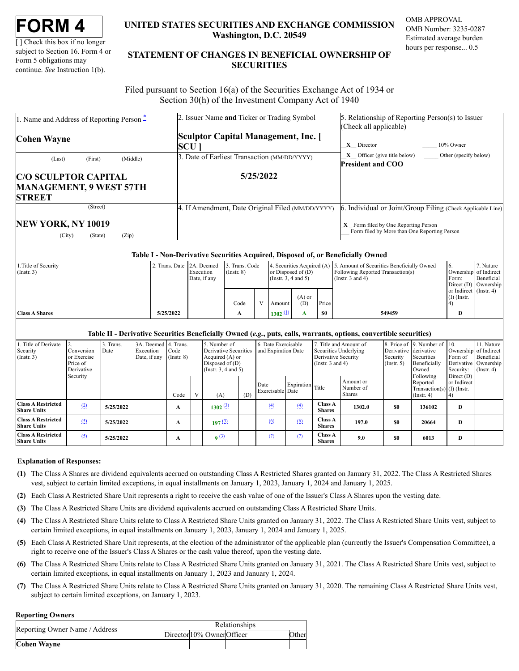[ ] Check this box if no longer subject to Section 16. Form 4 or Form 5 obligations may continue. *See* Instruction 1(b).

# **UNITED STATES SECURITIES AND EXCHANGE COMMISSION Washington, D.C. 20549**

OMB APPROVAL OMB Number: 3235-0287 Estimated average burden hours per response... 0.5

# **STATEMENT OF CHANGES IN BENEFICIAL OWNERSHIP OF SECURITIES**

Filed pursuant to Section 16(a) of the Securities Exchange Act of 1934 or Section 30(h) of the Investment Company Act of 1940

| 1. Name and Address of Reporting Person -                                      | 2. Issuer Name and Ticker or Trading Symbol       | 5. Relationship of Reporting Person(s) to Issuer                                                                                                      |  |  |  |  |  |
|--------------------------------------------------------------------------------|---------------------------------------------------|-------------------------------------------------------------------------------------------------------------------------------------------------------|--|--|--|--|--|
| Cohen Wayne                                                                    | Sculptor Capital Management, Inc. [<br><b>SCU</b> | (Check all applicable)<br>10% Owner<br>$X$ Director                                                                                                   |  |  |  |  |  |
| (Middle)<br>(First)<br>(Last)                                                  | 3. Date of Earliest Transaction (MM/DD/YYYY)      | $X$ Officer (give title below)<br>Other (specify below)<br><b>President and COO</b>                                                                   |  |  |  |  |  |
| <b>C/O SCULPTOR CAPITAL</b><br><b>MANAGEMENT, 9 WEST 57TH</b><br><b>STREET</b> | 5/25/2022                                         |                                                                                                                                                       |  |  |  |  |  |
| (Street)<br>NEW YORK, NY 10019<br>(Zip)<br>(City)<br>(State)                   | 4. If Amendment, Date Original Filed (MM/DD/YYYY) | 6. Individual or Joint/Group Filing (Check Applicable Line)<br>$X$ Form filed by One Reporting Person<br>Form filed by More than One Reporting Person |  |  |  |  |  |

## **Table I - Non-Derivative Securities Acquired, Disposed of, or Beneficially Owned**

| 1. Title of Security  | 2. Trans. Date 12A. Deemed |              | 3. Trans. Code  |                          |                      |          |                       | 4. Securities Acquired (A) 5. Amount of Securities Beneficially Owned |                        | . Nature               |
|-----------------------|----------------------------|--------------|-----------------|--------------------------|----------------------|----------|-----------------------|-----------------------------------------------------------------------|------------------------|------------------------|
| $($ Instr. 3)         |                            | Execution    | $($ Instr. $8)$ |                          | or Disposed of $(D)$ |          |                       | Following Reported Transaction(s)                                     |                        | Ownership of Indirect  |
|                       |                            | Date, if any |                 | (Instr. $3, 4$ and $5$ ) |                      |          | (Instr. $3$ and $4$ ) | Form:                                                                 | Beneficial             |                        |
|                       |                            |              |                 |                          |                      |          |                       |                                                                       |                        | Direct $(D)$ Ownership |
|                       |                            |              |                 |                          |                      |          |                       |                                                                       | or Indirect (Instr. 4) |                        |
|                       |                            |              |                 |                          |                      | $(A)$ or |                       |                                                                       | $(I)$ (Instr.          |                        |
|                       |                            |              | Code            |                          | Amount               | (D)      | Price                 |                                                                       |                        |                        |
| <b>Class A Shares</b> | 5/25/2022                  |              | $\mathbf{A}$    |                          | 1302 $(1)$           |          | <b>SO</b>             | 549459                                                                | D                      |                        |
|                       |                            |              |                 |                          |                      |          |                       |                                                                       |                        |                        |

## **Table II - Derivative Securities Beneficially Owned (***e.g.***, puts, calls, warrants, options, convertible securities)**

| Title of Derivate<br>Security<br>$($ Instr. 3)  | Conversion<br>or Exercise<br>Price of<br>Derivative | . Trans.<br>Date | 3A. Deemed 4. Trans.<br>Execution<br>Date, if any | Code<br>$($ Instr. $8)$ |              | 5. Number of<br>Derivative Securities<br>Acquired $(A)$ or<br>Disposed of $(D)$<br>(Insert. 3, 4 and 5) |     | 6. Date Exercisable<br>and Expiration Date |                  | Title and Amount of<br>Securities Underlying<br>Derivative Security<br>(Instr. $3$ and $4$ ) |                                         | Derivative derivative<br>Security<br>$($ Instr. 5 $)$ | 8. Price of 9. Number of 10.<br>Securities<br>Beneficially<br>Owned       | Ownership of Indirect<br>Form of<br>Derivative Ownership<br>Security: | 11. Nature<br>Beneficial<br>$($ Instr. 4 $)$ |
|-------------------------------------------------|-----------------------------------------------------|------------------|---------------------------------------------------|-------------------------|--------------|---------------------------------------------------------------------------------------------------------|-----|--------------------------------------------|------------------|----------------------------------------------------------------------------------------------|-----------------------------------------|-------------------------------------------------------|---------------------------------------------------------------------------|-----------------------------------------------------------------------|----------------------------------------------|
| Security                                        |                                                     |                  |                                                   | Code                    | $\mathbf{V}$ | (A)                                                                                                     | (D) | Date<br>Exercisable Date                   | Expiration Title |                                                                                              | Amount or<br>Number of<br><b>Shares</b> |                                                       | Following<br>Reported<br>Transaction(s) $(I)$ (Instr.<br>$($ Instr. 4 $)$ | Direct $(D)$<br>or Indirect                                           |                                              |
| <b>Class A Restricted</b><br><b>Share Units</b> | (2)                                                 | 5/25/2022        |                                                   | A                       |              | 1302 (3)                                                                                                |     | (4)                                        | (4)              | <b>Class A</b><br><b>Shares</b>                                                              | 1302.0                                  | \$0                                                   | 136102                                                                    | D                                                                     |                                              |
| <b>Class A Restricted</b><br><b>Share Units</b> | (5)                                                 | 5/25/2022        |                                                   | A                       |              | 197(3)                                                                                                  |     | (6)                                        | (6)              | <b>Class A</b><br><b>Shares</b>                                                              | 197.0                                   | \$0                                                   | 20664                                                                     | D                                                                     |                                              |
| <b>Class A Restricted</b><br><b>Share Units</b> | (5)                                                 | 5/25/2022        |                                                   | A                       |              | q(3)                                                                                                    |     | (2)                                        | (2)              | <b>Class A</b><br><b>Shares</b>                                                              | 9.0                                     | \$0                                                   | 6013                                                                      | D                                                                     |                                              |

## **Explanation of Responses:**

- <span id="page-0-0"></span>**(1)** The Class A Shares are dividend equivalents accrued on outstanding Class A Restricted Shares granted on January 31, 2022. The Class A Restricted Shares vest, subject to certain limited exceptions, in equal installments on January 1, 2023, January 1, 2024 and January 1, 2025.
- <span id="page-0-1"></span>**(2)** Each Class A Restricted Share Unit represents a right to receive the cash value of one of the Issuer's Class A Shares upon the vesting date.
- <span id="page-0-2"></span>**(3)** The Class A Restricted Share Units are dividend equivalents accrued on outstanding Class A Restricted Share Units.
- <span id="page-0-3"></span>**(4)** The Class A Restricted Share Units relate to Class A Restricted Share Units granted on January 31, 2022. The Class A Restricted Share Units vest, subject to certain limited exceptions, in equal installments on January 1, 2023, January 1, 2024 and January 1, 2025.
- <span id="page-0-4"></span>**(5)** Each Class A Restricted Share Unit represents, at the election of the administrator of the applicable plan (currently the Issuer's Compensation Committee), a right to receive one of the Issuer's Class A Shares or the cash value thereof, upon the vesting date.
- <span id="page-0-5"></span>**(6)** The Class A Restricted Share Units relate to Class A Restricted Share Units granted on January 31, 2021. The Class A Restricted Share Units vest, subject to certain limited exceptions, in equal installments on January 1, 2023 and January 1, 2024.
- <span id="page-0-6"></span>**(7)** The Class A Restricted Share Units relate to Class A Restricted Share Units granted on January 31, 2020. The remaining Class A Restricted Share Units vest, subject to certain limited exceptions, on January 1, 2023.

### **Reporting Owners**

| Reporting Owner Name / Address | <b>Relationships</b> |                            |  |       |  |  |
|--------------------------------|----------------------|----------------------------|--|-------|--|--|
|                                |                      | Director 10% Owner Officer |  | Other |  |  |
| <b>Cohen Wayne</b>             |                      |                            |  |       |  |  |